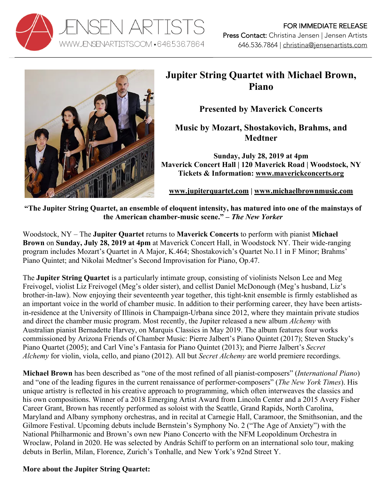



## **Jupiter String Quartet with Michael Brown, Piano**

**Presented by Maverick Concerts**

**Music by Mozart, Shostakovich, Brahms, and Medtner**

**Sunday, July 28, 2019 at 4pm Maverick Concert Hall | 120 Maverick Road | Woodstock, NY Tickets & Information: www.maverickconcerts.org**

**www.jupiterquartet.com | www.michaelbrownmusic.com**

**"The Jupiter String Quartet, an ensemble of eloquent intensity, has matured into one of the mainstays of the American chamber-music scene." –** *The New Yorker*

Woodstock, NY – The **Jupiter Quartet** returns to **Maverick Concerts** to perform with pianist **Michael Brown** on **Sunday, July 28, 2019 at 4pm** at Maverick Concert Hall, in Woodstock NY. Their wide-ranging program includes Mozart's Quartet in A Major, K.464; Shostakovich's Quartet No.11 in F Minor; Brahms' Piano Quintet; and Nikolai Medtner's Second Improvisation for Piano, Op.47.

The **Jupiter String Quartet** is a particularly intimate group, consisting of violinists Nelson Lee and Meg Freivogel, violist Liz Freivogel (Meg's older sister), and cellist Daniel McDonough (Meg's husband, Liz's brother-in-law). Now enjoying their seventeenth year together, this tight-knit ensemble is firmly established as an important voice in the world of chamber music. In addition to their performing career, they have been artistsin-residence at the University of Illinois in Champaign-Urbana since 2012, where they maintain private studios and direct the chamber music program. Most recently, the Jupiter released a new album *Alchemy* with Australian pianist Bernadette Harvey, on Marquis Classics in May 2019. The album features four works commissioned by Arizona Friends of Chamber Music: Pierre Jalbert's Piano Quintet (2017); Steven Stucky's Piano Quartet (2005); and Carl Vine's Fantasia for Piano Quintet (2013); and Pierre Jalbert's *Secret Alchemy* for violin, viola, cello, and piano (2012). All but *Secret Alchemy* are world premiere recordings.

**Michael Brown** has been described as "one of the most refined of all pianist-composers" (*International Piano*) and "one of the leading figures in the current renaissance of performer-composers" (*The New York Times*). His unique artistry is reflected in his creative approach to programming, which often interweaves the classics and his own compositions. Winner of a 2018 Emerging Artist Award from Lincoln Center and a 2015 Avery Fisher Career Grant, Brown has recently performed as soloist with the Seattle, Grand Rapids, North Carolina, Maryland and Albany symphony orchestras, and in recital at Carnegie Hall, Caramoor, the Smithsonian, and the Gilmore Festival. Upcoming debuts include Bernstein's Symphony No. 2 ("The Age of Anxiety") with the National Philharmonic and Brown's own new Piano Concerto with the NFM Leopoldinum Orchestra in Wroclaw, Poland in 2020. He was selected by András Schiff to perform on an international solo tour, making debuts in Berlin, Milan, Florence, Zurich's Tonhalle, and New York's 92nd Street Y.

## **More about the Jupiter String Quartet:**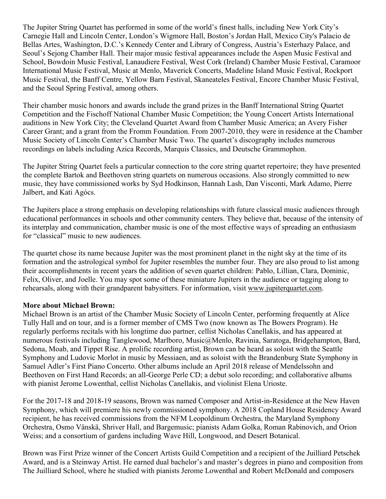The Jupiter String Quartet has performed in some of the world's finest halls, including New York City's Carnegie Hall and Lincoln Center, London's Wigmore Hall, Boston's Jordan Hall, Mexico City's Palacio de Bellas Artes, Washington, D.C.'s Kennedy Center and Library of Congress, Austria's Esterhazy Palace, and Seoul's Sejong Chamber Hall. Their major music festival appearances include the Aspen Music Festival and School, Bowdoin Music Festival, Lanaudiere Festival, West Cork (Ireland) Chamber Music Festival, Caramoor International Music Festival, Music at Menlo, Maverick Concerts, Madeline Island Music Festival, Rockport Music Festival, the Banff Centre, Yellow Barn Festival, Skaneateles Festival, Encore Chamber Music Festival, and the Seoul Spring Festival, among others.

Their chamber music honors and awards include the grand prizes in the Banff International String Quartet Competition and the Fischoff National Chamber Music Competition; the Young Concert Artists International auditions in New York City; the Cleveland Quartet Award from Chamber Music America; an Avery Fisher Career Grant; and a grant from the Fromm Foundation. From 2007-2010, they were in residence at the Chamber Music Society of Lincoln Center's Chamber Music Two. The quartet's discography includes numerous recordings on labels including Azica Records, Marquis Classics, and Deutsche Grammophon.

The Jupiter String Quartet feels a particular connection to the core string quartet repertoire; they have presented the complete Bartok and Beethoven string quartets on numerous occasions. Also strongly committed to new music, they have commissioned works by Syd Hodkinson, Hannah Lash, Dan Visconti, Mark Adamo, Pierre Jalbert, and Kati Agócs.

The Jupiters place a strong emphasis on developing relationships with future classical music audiences through educational performances in schools and other community centers. They believe that, because of the intensity of its interplay and communication, chamber music is one of the most effective ways of spreading an enthusiasm for "classical" music to new audiences.

The quartet chose its name because Jupiter was the most prominent planet in the night sky at the time of its formation and the astrological symbol for Jupiter resembles the number four. They are also proud to list among their accomplishments in recent years the addition of seven quartet children: Pablo, Lillian, Clara, Dominic, Felix, Oliver, and Joelle. You may spot some of these miniature Jupiters in the audience or tagging along to rehearsals, along with their grandparent babysitters. For information, visit www.jupiterquartet.com.

## **More about Michael Brown:**

Michael Brown is an artist of the Chamber Music Society of Lincoln Center, performing frequently at Alice Tully Hall and on tour, and is a former member of CMS Two (now known as The Bowers Program). He regularly performs recitals with his longtime duo partner, cellist Nicholas Canellakis, and has appeared at numerous festivals including Tanglewood, Marlboro, Music@Menlo, Ravinia, Saratoga, Bridgehampton, Bard, Sedona, Moab, and Tippet Rise. A prolific recording artist, Brown can be heard as soloist with the Seattle Symphony and Ludovic Morlot in music by Messiaen, and as soloist with the Brandenburg State Symphony in Samuel Adler's First Piano Concerto. Other albums include an April 2018 release of Mendelssohn and Beethoven on First Hand Records; an all-George Perle CD; a debut solo recording; and collaborative albums with pianist Jerome Lowenthal, cellist Nicholas Canellakis, and violinist Elena Urioste.

For the 2017-18 and 2018-19 seasons, Brown was named Composer and Artist-in-Residence at the New Haven Symphony, which will premiere his newly commissioned symphony. A 2018 Copland House Residency Award recipient, he has received commissions from the NFM Leopoldinum Orchestra, the Maryland Symphony Orchestra, Osmo Vänskä, Shriver Hall, and Bargemusic; pianists Adam Golka, Roman Rabinovich, and Orion Weiss; and a consortium of gardens including Wave Hill, Longwood, and Desert Botanical.

Brown was First Prize winner of the Concert Artists Guild Competition and a recipient of the Juilliard Petschek Award, and is a Steinway Artist. He earned dual bachelor's and master's degrees in piano and composition from The Juilliard School, where he studied with pianists Jerome Lowenthal and Robert McDonald and composers